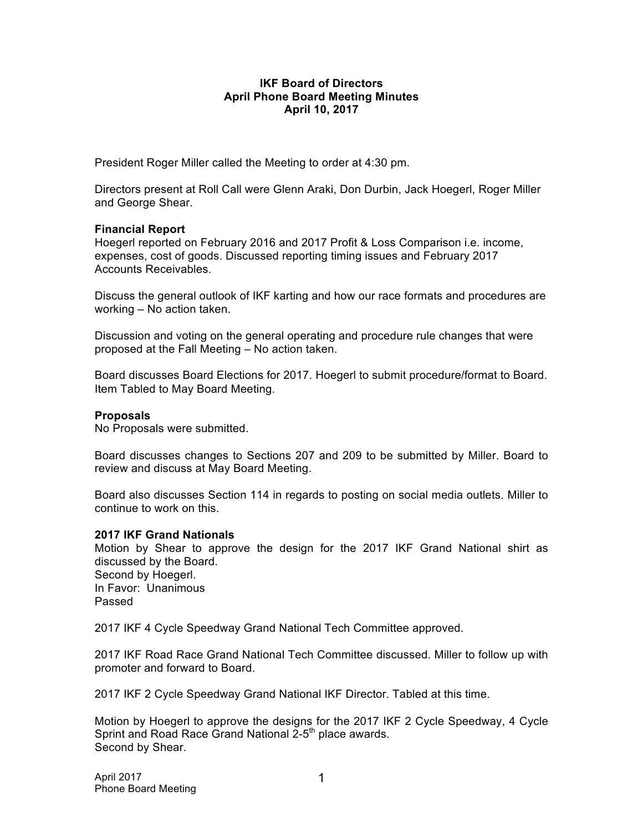## **IKF Board of Directors April Phone Board Meeting Minutes April 10, 2017**

President Roger Miller called the Meeting to order at 4:30 pm.

Directors present at Roll Call were Glenn Araki, Don Durbin, Jack Hoegerl, Roger Miller and George Shear.

## **Financial Report**

Hoegerl reported on February 2016 and 2017 Profit & Loss Comparison i.e. income, expenses, cost of goods. Discussed reporting timing issues and February 2017 Accounts Receivables.

Discuss the general outlook of IKF karting and how our race formats and procedures are working – No action taken.

Discussion and voting on the general operating and procedure rule changes that were proposed at the Fall Meeting – No action taken.

Board discusses Board Elections for 2017. Hoegerl to submit procedure/format to Board. Item Tabled to May Board Meeting.

## **Proposals**

No Proposals were submitted.

Board discusses changes to Sections 207 and 209 to be submitted by Miller. Board to review and discuss at May Board Meeting.

Board also discusses Section 114 in regards to posting on social media outlets. Miller to continue to work on this.

## **2017 IKF Grand Nationals**

Motion by Shear to approve the design for the 2017 IKF Grand National shirt as discussed by the Board. Second by Hoegerl. In Favor: Unanimous

Passed

2017 IKF 4 Cycle Speedway Grand National Tech Committee approved.

2017 IKF Road Race Grand National Tech Committee discussed. Miller to follow up with promoter and forward to Board.

2017 IKF 2 Cycle Speedway Grand National IKF Director. Tabled at this time.

Motion by Hoegerl to approve the designs for the 2017 IKF 2 Cycle Speedway, 4 Cycle Sprint and Road Race Grand National 2-5<sup>th</sup> place awards. Second by Shear.